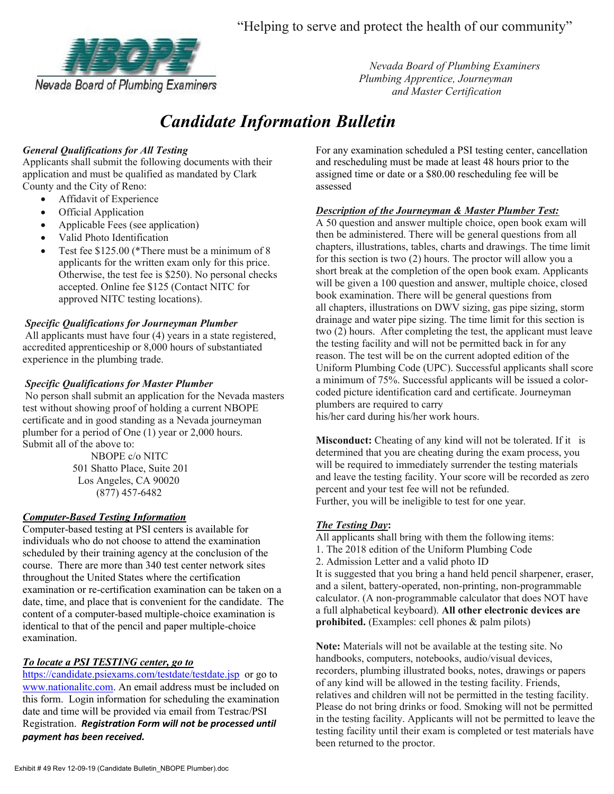"Helping to serve and protect the health of our community"



 Nevada Board of Plumbing Examiners and Master Certification

# Candidate Information Bulletin

# General Qualifications for All Testing

Applicants shall submit the following documents with their application and must be qualified as mandated by Clark County and the City of Reno:

- Affidavit of Experience
- Official Application
- Applicable Fees (see application)
- Valid Photo Identification
- Test fee \$125.00 (\*There must be a minimum of 8 applicants for the written exam only for this price. Otherwise, the test fee is \$250). No personal checks accepted. Online fee \$125 (Contact NITC for approved NITC testing locations).

## Specific Qualifications for Journeyman Plumber

 All applicants must have four (4) years in a state registered, accredited apprenticeship or 8,000 hours of substantiated experience in the plumbing trade.

## Specific Qualifications for Master Plumber

 No person shall submit an application for the Nevada masters test without showing proof of holding a current NBOPE certificate and in good standing as a Nevada journeyman plumber for a period of One (1) year or 2,000 hours. Submit all of the above to:

> NBOPE c/o NITC 501 Shatto Place, Suite 201 Los Angeles, CA 90020 (877) 457-6482

#### Computer-Based Testing Information

Computer-based testing at PSI centers is available for individuals who do not choose to attend the examination scheduled by their training agency at the conclusion of the course. There are more than 340 test center network sites throughout the United States where the certification examination or re-certification examination can be taken on a date, time, and place that is convenient for the candidate. The content of a computer-based multiple-choice examination is identical to that of the pencil and paper multiple-choice examination.

# To locate a PSI TESTING center, go to

https://candidate.psiexams.com/testdate/testdate.jsp or go to www.nationalitc.com. An email address must be included on this form. Login information for scheduling the examination date and time will be provided via email from Testrac/PSI Registration. Registration Form will not be processed until payment has been received.

For any examination scheduled a PSI testing center, cancellation and rescheduling must be made at least 48 hours prior to the assigned time or date or a \$80.00 rescheduling fee will be assessed

# **Description of the Journeyman & Master Plumber Test:**

A 50 question and answer multiple choice, open book exam will then be administered. There will be general questions from all chapters, illustrations, tables, charts and drawings. The time limit for this section is two (2) hours. The proctor will allow you a short break at the completion of the open book exam. Applicants will be given a 100 question and answer, multiple choice, closed book examination. There will be general questions from all chapters, illustrations on DWV sizing, gas pipe sizing, storm drainage and water pipe sizing. The time limit for this section is two (2) hours. After completing the test, the applicant must leave the testing facility and will not be permitted back in for any reason. The test will be on the current adopted edition of the Uniform Plumbing Code (UPC). Successful applicants shall score a minimum of 75%. Successful applicants will be issued a colorcoded picture identification card and certificate. Journeyman plumbers are required to carry his/her card during his/her work hours.

Misconduct: Cheating of any kind will not be tolerated. If it is determined that you are cheating during the exam process, you will be required to immediately surrender the testing materials and leave the testing facility. Your score will be recorded as zero percent and your test fee will not be refunded. Further, you will be ineligible to test for one year.

# The Testing Day:

All applicants shall bring with them the following items: 1. The 2018 edition of the Uniform Plumbing Code 2. Admission Letter and a valid photo ID It is suggested that you bring a hand held pencil sharpener, eraser, and a silent, battery-operated, non-printing, non-programmable calculator. (A non-programmable calculator that does NOT have a full alphabetical keyboard). All other electronic devices are prohibited. (Examples: cell phones & palm pilots)

Note: Materials will not be available at the testing site. No handbooks, computers, notebooks, audio/visual devices, recorders, plumbing illustrated books, notes, drawings or papers of any kind will be allowed in the testing facility. Friends, relatives and children will not be permitted in the testing facility. Please do not bring drinks or food. Smoking will not be permitted in the testing facility. Applicants will not be permitted to leave the testing facility until their exam is completed or test materials have been returned to the proctor.